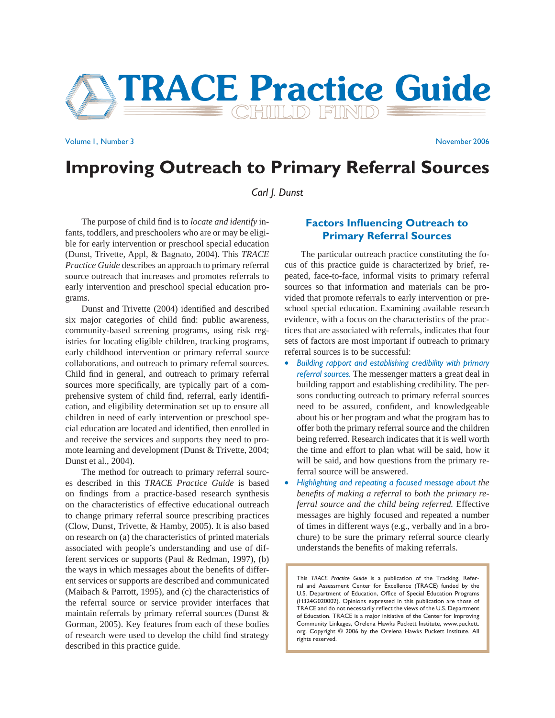

Volume 1, Number 3 November 2006

# **Improving Outreach to Primary Referral Sources**

*Carl J. Dunst*

The purpose of child find is to *locate and identify* infants, toddlers, and preschoolers who are or may be eligible for early intervention or preschool special education (Dunst, Trivette, Appl, & Bagnato, 2004). This *TRACE Practice Guide* describes an approach to primary referral source outreach that increases and promotes referrals to early intervention and preschool special education programs.

Dunst and Trivette (2004) identified and described six major categories of child find: public awareness, community-based screening programs, using risk registries for locating eligible children, tracking programs, early childhood intervention or primary referral source collaborations, and outreach to primary referral sources. Child find in general, and outreach to primary referral sources more specifically, are typically part of a comprehensive system of child find, referral, early identification, and eligibility determination set up to ensure all children in need of early intervention or preschool special education are located and identified, then enrolled in and receive the services and supports they need to promote learning and development (Dunst & Trivette, 2004; Dunst et al., 2004).

 The method for outreach to primary referral sources described in this *TRACE Practice Guide* is based on findings from a practice-based research synthesis on the characteristics of effective educational outreach to change primary referral source prescribing practices (Clow, Dunst, Trivette, & Hamby, 2005). It is also based on research on (a) the characteristics of printed materials associated with people's understanding and use of different services or supports (Paul & Redman, 1997), (b) the ways in which messages about the benefits of different services or supports are described and communicated (Maibach & Parrott, 1995), and (c) the characteristics of the referral source or service provider interfaces that maintain referrals by primary referral sources (Dunst & Gorman, 2005). Key features from each of these bodies of research were used to develop the child find strategy described in this practice guide.

## **Factors Influencing Outreach to Primary Referral Sources**

The particular outreach practice constituting the focus of this practice guide is characterized by brief, repeated, face-to-face, informal visits to primary referral sources so that information and materials can be provided that promote referrals to early intervention or preschool special education. Examining available research evidence, with a focus on the characteristics of the practices that are associated with referrals, indicates that four sets of factors are most important if outreach to primary referral sources is to be successful:

- *Building rapport and establishing credibility with primary referral sources.* The messenger matters a great deal in building rapport and establishing credibility. The persons conducting outreach to primary referral sources need to be assured, confident, and knowledgeable about his or her program and what the program has to offer both the primary referral source and the children being referred. Research indicates that it is well worth the time and effort to plan what will be said, how it will be said, and how questions from the primary referral source will be answered.
- *Highlighting and repeating a focused message about the*  benefits of making a referral to both the primary re*ferral source and the child being referred.* Effective messages are highly focused and repeated a number of times in different ways (e.g., verbally and in a brochure) to be sure the primary referral source clearly understands the benefits of making referrals.

This *TRACE Practice Guide* is a publication of the Tracking, Referral and Assessment Center for Excellence (TRACE) funded by the U.S. Department of Education, Office of Special Education Programs (H324G020002). Opinions expressed in this publication are those of TRACE and do not necessarily reflect the views of the U.S. Department of Education. TRACE is a major initiative of the Center for Improving Community Linkages, Orelena Hawks Puckett Institute, www.puckett. org. Copyright © 2006 by the Orelena Hawks Puckett Institute. All rights reserved.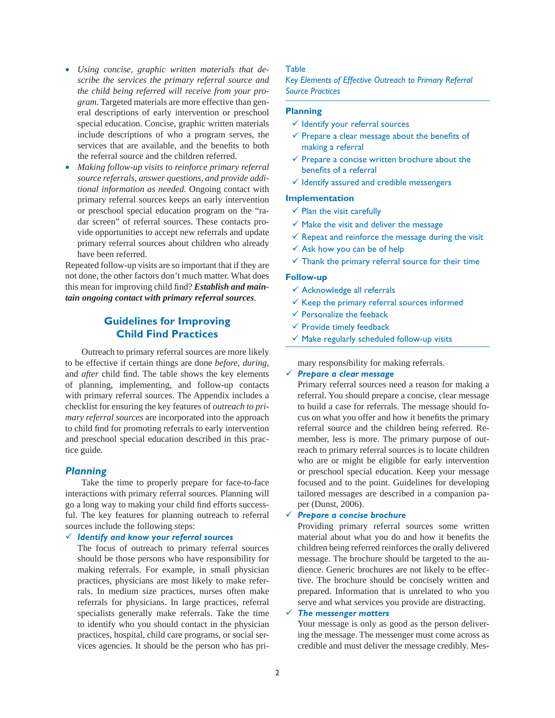- *Using concise, graphic written materials that describe the services the primary referral source and the child being referred will receive from your program.* Targeted materials are more effective than general descriptions of early intervention or preschool special education. Concise, graphic written materials include descriptions of who a program serves, the services that are available, and the benefits to both the referral source and the children referred.
- *Making follow-up visits to reinforce primary referral source referrals, answer questions, and provide additional information as needed.* Ongoing contact with primary referral sources keeps an early intervention or preschool special education program on the "radar screen" of referral sources. These contacts provide opportunities to accept new referrals and update primary referral sources about children who already have been referred.

Repeated follow-up visits are so important that if they are not done, the other factors don't much matter. What does this mean for improving child find? *Establish and maintain ongoing contact with primary referral sources*.

## **Guidelines for Improving Child Find Practices**

Outreach to primary referral sources are more likely to be effective if certain things are done *before*, *during*, and *after* child find. The table shows the key elements of planning, implementing, and follow-up contacts with primary referral sources. The Appendix includes a checklist for ensuring the key features of *outreach to primary referral sources* are incorporated into the approach to child find for promoting referrals to early intervention and preschool special education described in this practice guide.

#### *Planning*

 Take the time to properly prepare for face-to-face interactions with primary referral sources. Planning will go a long way to making your child find efforts successful. The key features for planning outreach to referral sources include the following steps:

#### 9 *Identify and know your referral sources*

The focus of outreach to primary referral sources should be those persons who have responsibility for making referrals. For example, in small physician practices, physicians are most likely to make referrals. In medium size practices, nurses often make referrals for physicians. In large practices, referral specialists generally make referrals. Take the time to identify who you should contact in the physician practices, hospital, child care programs, or social services agencies. It should be the person who has pri-

#### Table

*Key Elements of Effective Outreach to Primary Referral Source Practices* 

#### **Planning**

- $\checkmark$  Identify your referral sources
- $\checkmark$  Prepare a clear message about the benefits of making a referral
- $\checkmark$  Prepare a concise written brochure about the benefits of a referral
- $\checkmark$  Identify assured and credible messengers

#### **Implementation**

- $\checkmark$  Plan the visit carefully
- $\checkmark$  Make the visit and deliver the message
- $\checkmark$  Repeat and reinforce the message during the visit
- $\checkmark$  Ask how you can be of help
- $\checkmark$  Thank the primary referral source for their time

#### **Follow-up**

- $\checkmark$  Acknowledge all referrals
- $\checkmark$  Keep the primary referral sources informed
- $\checkmark$  Personalize the feeback
- $\checkmark$  Provide timely feedback
- $\checkmark$  Make regularly scheduled follow-up visits

mary responsibility for making referrals.

#### 9 *Prepare a clear message*

Primary referral sources need a reason for making a referral. You should prepare a concise, clear message to build a case for referrals. The message should focus on what you offer and how it benefits the primary referral source and the children being referred. Remember, less is more. The primary purpose of outreach to primary referral sources is to locate children who are or might be eligible for early intervention or preschool special education. Keep your message focused and to the point. Guidelines for developing tailored messages are described in a companion paper (Dunst, 2006).

#### 9 *Prepare a concise brochure*

Providing primary referral sources some written material about what you do and how it benefits the children being referred reinforces the orally delivered message. The brochure should be targeted to the audience. Generic brochures are not likely to be effective. The brochure should be concisely written and prepared. Information that is unrelated to who you serve and what services you provide are distracting.

#### 9 *The messenger matters*

Your message is only as good as the person delivering the message. The messenger must come across as credible and must deliver the message credibly. Mes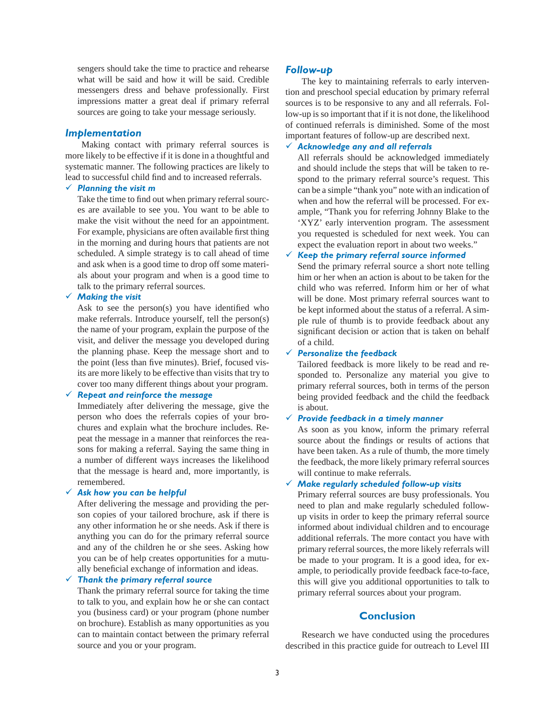sengers should take the time to practice and rehearse what will be said and how it will be said. Credible messengers dress and behave professionally. First impressions matter a great deal if primary referral sources are going to take your message seriously.

#### *Implementation*

 Making contact with primary referral sources is more likely to be effective if it is done in a thoughtful and systematic manner. The following practices are likely to lead to successful child find and to increased referrals.

#### 9 *Planning the visit m*

Take the time to find out when primary referral sources are available to see you. You want to be able to make the visit without the need for an appointment. For example, physicians are often available first thing in the morning and during hours that patients are not scheduled. A simple strategy is to call ahead of time and ask when is a good time to drop off some materials about your program and when is a good time to talk to the primary referral sources.

#### 9 *Making the visit*

Ask to see the person(s) you have identified who make referrals. Introduce yourself, tell the person(s) the name of your program, explain the purpose of the visit, and deliver the message you developed during the planning phase. Keep the message short and to the point (less than five minutes). Brief, focused visits are more likely to be effective than visits that try to cover too many different things about your program.

#### 9 *Repeat and reinforce the message*

Immediately after delivering the message, give the person who does the referrals copies of your brochures and explain what the brochure includes. Repeat the message in a manner that reinforces the reasons for making a referral. Saying the same thing in a number of different ways increases the likelihood that the message is heard and, more importantly, is remembered.

#### 9 *Ask how you can be helpful*

After delivering the message and providing the person copies of your tailored brochure, ask if there is any other information he or she needs. Ask if there is anything you can do for the primary referral source and any of the children he or she sees. Asking how you can be of help creates opportunities for a mutually beneficial exchange of information and ideas.

## 9 *Thank the primary referral source*

Thank the primary referral source for taking the time to talk to you, and explain how he or she can contact you (business card) or your program (phone number on brochure). Establish as many opportunities as you can to maintain contact between the primary referral source and you or your program.

#### *Follow-up*

 The key to maintaining referrals to early intervention and preschool special education by primary referral sources is to be responsive to any and all referrals. Follow-up is so important that if it is not done, the likelihood of continued referrals is diminished. Some of the most important features of follow-up are described next.

#### 9 *Acknowledge any and all referrals*

All referrals should be acknowledged immediately and should include the steps that will be taken to respond to the primary referral source's request. This can be a simple "thank you" note with an indication of when and how the referral will be processed. For example, "Thank you for referring Johnny Blake to the 'XYZ' early intervention program. The assessment you requested is scheduled for next week. You can expect the evaluation report in about two weeks."

#### 9 *Keep the primary referral source informed*

Send the primary referral source a short note telling him or her when an action is about to be taken for the child who was referred. Inform him or her of what will be done. Most primary referral sources want to be kept informed about the status of a referral. A simple rule of thumb is to provide feedback about any significant decision or action that is taken on behalf of a child.

## 9 *Personalize the feedback*

Tailored feedback is more likely to be read and responded to. Personalize any material you give to primary referral sources, both in terms of the person being provided feedback and the child the feedback is about.

## 9 *Provide feedback in a timely manner*

As soon as you know, inform the primary referral source about the findings or results of actions that have been taken. As a rule of thumb, the more timely the feedback, the more likely primary referral sources will continue to make referrals.

#### 9 *Make regularly scheduled follow-up visits*

Primary referral sources are busy professionals. You need to plan and make regularly scheduled followup visits in order to keep the primary referral source informed about individual children and to encourage additional referrals. The more contact you have with primary referral sources, the more likely referrals will be made to your program. It is a good idea, for example, to periodically provide feedback face-to-face, this will give you additional opportunities to talk to primary referral sources about your program.

### **Conclusion**

 Research we have conducted using the procedures described in this practice guide for outreach to Level III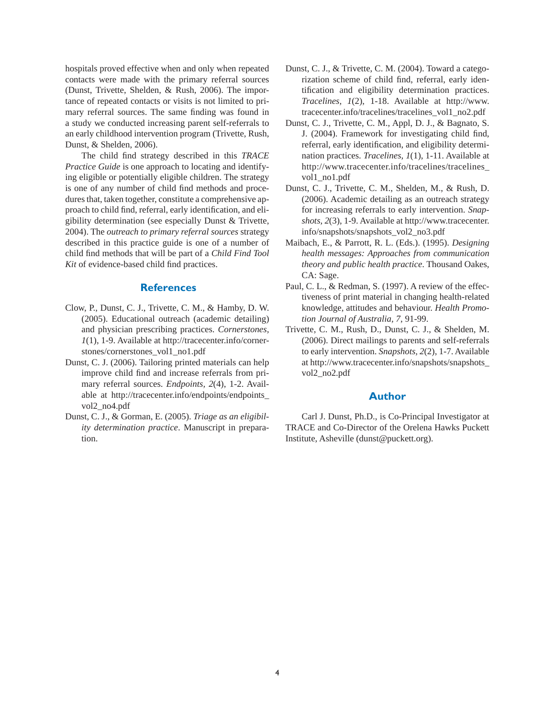hospitals proved effective when and only when repeated contacts were made with the primary referral sources (Dunst, Trivette, Shelden, & Rush, 2006). The importance of repeated contacts or visits is not limited to primary referral sources. The same finding was found in a study we conducted increasing parent self-referrals to an early childhood intervention program (Trivette, Rush, Dunst, & Shelden, 2006).

The child find strategy described in this *TRACE Practice Guide* is one approach to locating and identifying eligible or potentially eligible children. The strategy is one of any number of child find methods and procedures that, taken together, constitute a comprehensive approach to child find, referral, early identification, and eligibility determination (see especially Dunst & Trivette, 2004). The *outreach to primary referral sources* strategy described in this practice guide is one of a number of child find methods that will be part of a *Child Find Tool Kit* of evidence-based child find practices.

#### **References**

- Clow, P., Dunst, C. J., Trivette, C. M., & Hamby, D. W. (2005). Educational outreach (academic detailing) and physician prescribing practices. *Cornerstones, 1*(1), 1-9. Available at http://tracecenter.info/cornerstones/cornerstones\_vol1\_no1.pdf
- Dunst, C. J. (2006). Tailoring printed materials can help improve child find and increase referrals from primary referral sources. *Endpoints, 2*(4), 1-2. Available at http://tracecenter.info/endpoints/endpoints\_ vol2\_no4.pdf
- Dunst, C. J., & Gorman, E. (2005). *Triage as an eligibility determination practice*. Manuscript in preparation.
- Dunst, C. J., & Trivette, C. M. (2004). Toward a categorization scheme of child find, referral, early identification and eligibility determination practices. *Tracelines, 1*(2), 1-18. Available at http://www. tracecenter.info/tracelines/tracelines\_vol1\_no2.pdf
- Dunst, C. J., Trivette, C. M., Appl, D. J., & Bagnato, S. J. (2004). Framework for investigating child find, referral, early identification, and eligibility determination practices. *Tracelines, 1*(1), 1-11. Available at http://www.tracecenter.info/tracelines/tracelines\_ vol1\_no1.pdf
- Dunst, C. J., Trivette, C. M., Shelden, M., & Rush, D. (2006). Academic detailing as an outreach strategy for increasing referrals to early intervention. *Snapshots, 2*(3), 1-9. Available at http://www.tracecenter. info/snapshots/snapshots\_vol2\_no3.pdf
- Maibach, E., & Parrott, R. L. (Eds.). (1995). *Designing health messages: Approaches from communication theory and public health practice*. Thousand Oakes, CA: Sage.
- Paul, C. L., & Redman, S. (1997). A review of the effectiveness of print material in changing health-related knowledge, attitudes and behaviour. *Health Promotion Journal of Australia, 7*, 91-99.
- Trivette, C. M., Rush, D., Dunst, C. J., & Shelden, M. (2006). Direct mailings to parents and self-referrals to early intervention. *Snapshots, 2*(2), 1-7. Available at http://www.tracecenter.info/snapshots/snapshots\_ vol2\_no2.pdf

#### **Author**

 Carl J. Dunst, Ph.D., is Co-Principal Investigator at TRACE and Co-Director of the Orelena Hawks Puckett Institute, Asheville (dunst@puckett.org).